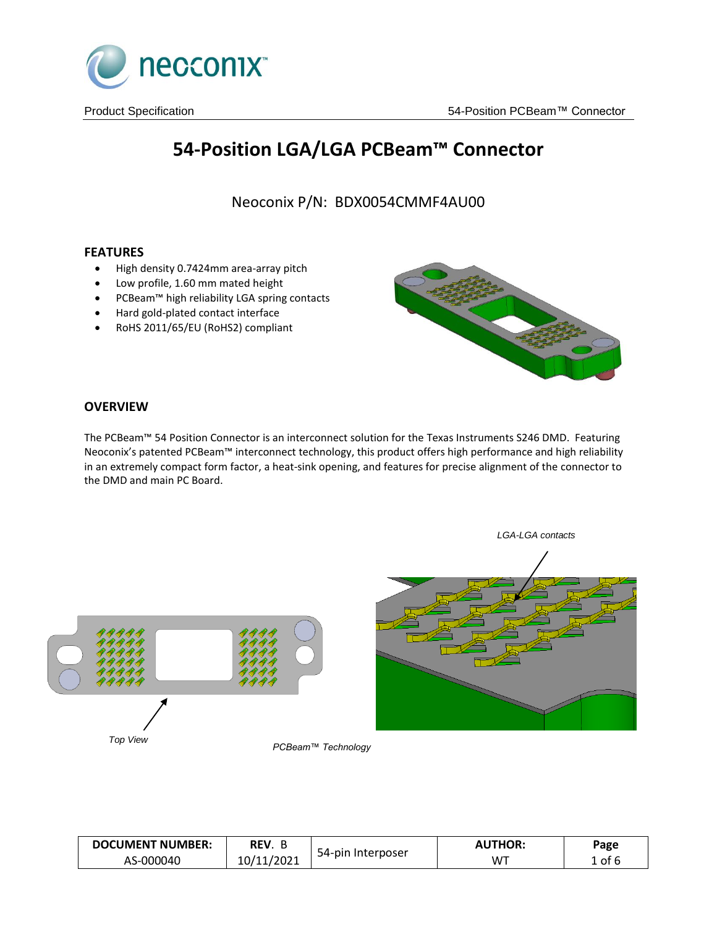

# **54-Position LGA/LGA PCBeam™ Connector**

Neoconix P/N: BDX0054CMMF4AU00

# **FEATURES**

- High density 0.7424mm area-array pitch
- Low profile, 1.60 mm mated height
- PCBeam™ high reliability LGA spring contacts
- Hard gold-plated contact interface
- RoHS 2011/65/EU (RoHS2) compliant



## **OVERVIEW**

The PCBeam™ 54 Position Connector is an interconnect solution for the Texas Instruments S246 DMD. Featuring Neoconix's patented PCBeam™ interconnect technology, this product offers high performance and high reliability in an extremely compact form factor, a heat-sink opening, and features for precise alignment of the connector to the DMD and main PC Board.



| <b>DOCUMENT NUMBER:</b> | REV.       |                   | <b>AUTHOR:</b> | Page   |
|-------------------------|------------|-------------------|----------------|--------|
| AS-000040               | 10/11/2021 | 54-pin Interposer | W™             | ⊥ of ′ |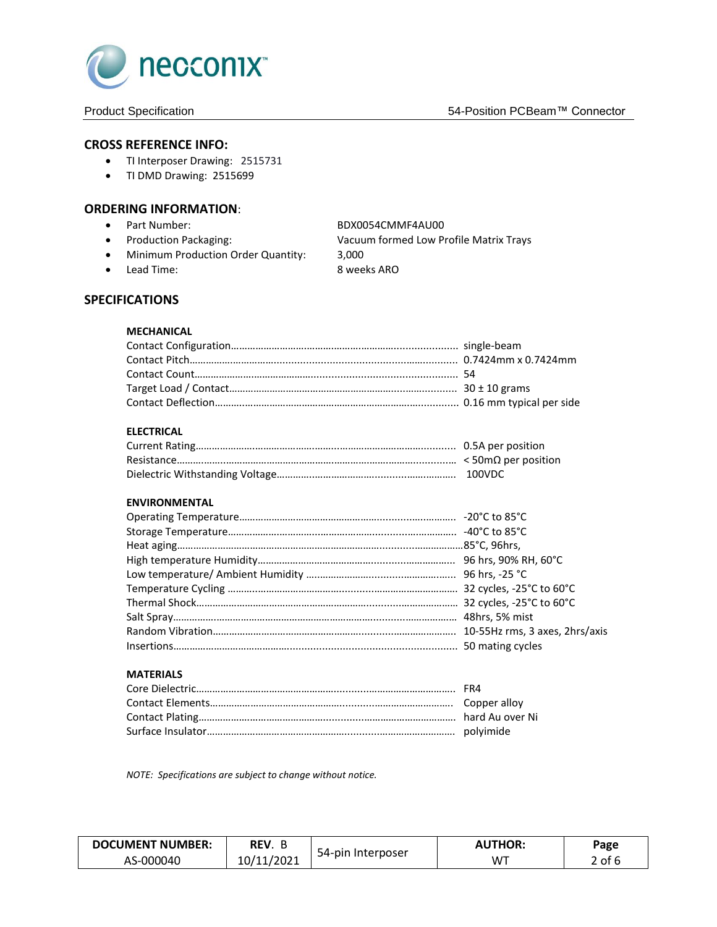

## **CROSS REFERENCE INFO:**

- TI Interposer Drawing: 2515731
- TI DMD Drawing: 2515699

## **ORDERING INFORMATION**:

- Part Number: BDX0054CMMF4AU00
- 
- Minimum Production Order Quantity: 3,000
- Lead Time: 8 weeks ARO

Production Packaging: Vacuum formed Low Profile Matrix Trays

# **SPECIFICATIONS**

## **MECHANICAL**

## **ELECTRICAL**

# **ENVIRONMENTAL**

#### **MATERIALS**

*NOTE: Specifications are subject to change without notice.*

| <b>DOCUMENT NUMBER:</b> | REV.             |                   | <b>AUTHOR:</b> | Page            |
|-------------------------|------------------|-------------------|----------------|-----------------|
| AS-000040               | 11/2021<br>10/11 | 54-pin Interposer | W™             | . of $\epsilon$ |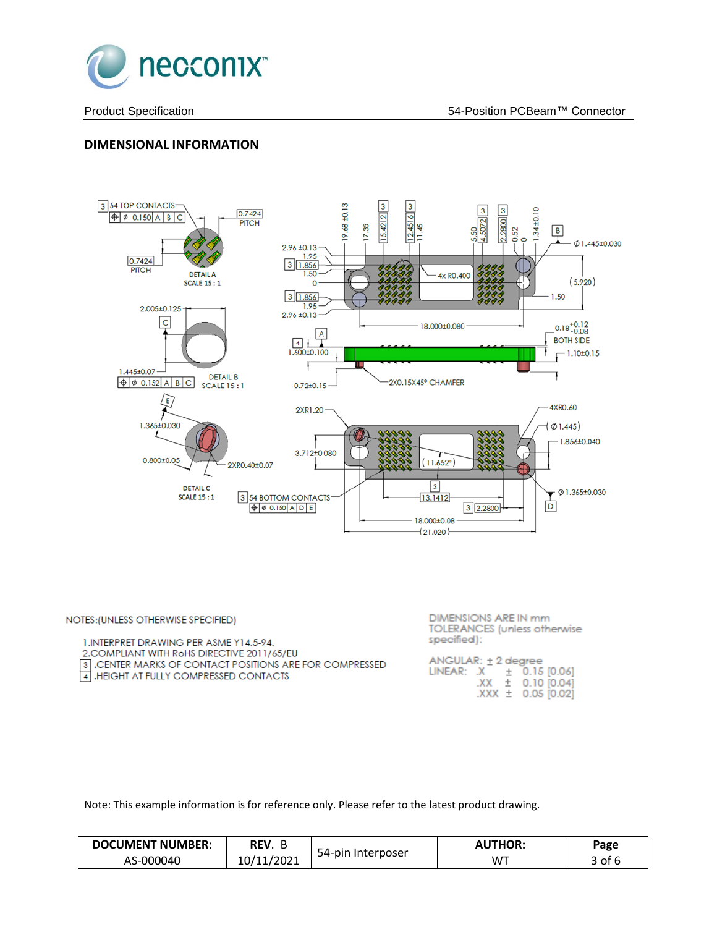

# **DIMENSIONAL INFORMATION**



| NOTES: (UNLESS OTHERWISE SPECIFIED)                                                                                                                                                         | DIMENSIONS ARE IN mm<br><b>TOLERANCES</b> (unless otherwise                                                        |
|---------------------------------------------------------------------------------------------------------------------------------------------------------------------------------------------|--------------------------------------------------------------------------------------------------------------------|
| 1. INTERPRET DRAWING PER ASME Y14.5-94.<br>2. COMPLIANT WITH ROHS DIRECTIVE 2011/65/EU<br>3. CENTER MARKS OF CONTACT POSITIONS ARE FOR COMPRESSED<br>4. HEIGHT AT FULLY COMPRESSED CONTACTS | specified):<br>$ANGULAR: \pm 2 degree$<br>LINEAR: $X + 0.15$ [0.06]<br>$XX \pm 0.10$ [0.04]<br>$XXX + 0.05$ [0.02] |

Note: This example information is for reference only. Please refer to the latest product drawing.

| <b>DOCUMENT NUMBER:</b> | REV.       |                   | <b>AUTHOR:</b> | Page |
|-------------------------|------------|-------------------|----------------|------|
| AS-000040               | 10/11/2021 | 54-pin Interposer | W٦             | of f |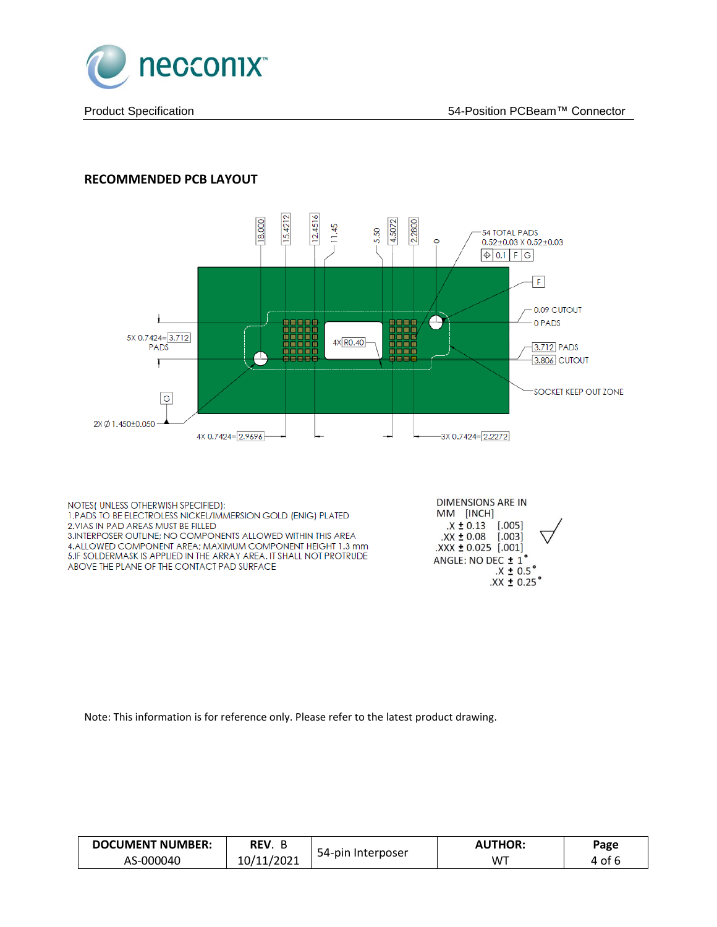

# **RECOMMENDED PCB LAYOUT**



4.ALLOWED COMPONENT AREA; MAXIMUM COMPONENT HEIGHT 1.3 mm 5.IF SOLDERMASK IS APPLIED IN THE ARRAY AREA. IT SHALL NOT PROTRUDE ABOVE THE PLANE OF THE CONTACT PAD SURFACE

ANGLE: NO DEC ± 1°  $.X \pm 0.5^{\circ}$  $\overline{XX}$  ± 0.25°

 $\text{XXX}$  ± 0.025 [.001]

Note: This information is for reference only. Please refer to the latest product drawing.

| <b>DOCUMENT NUMBER:</b> | REV.       |                   | <b>AUTHOR:</b> | Page |
|-------------------------|------------|-------------------|----------------|------|
| AS-000040               | 10/11/2021 | 54-pin Interposer | W <sup>+</sup> | ot : |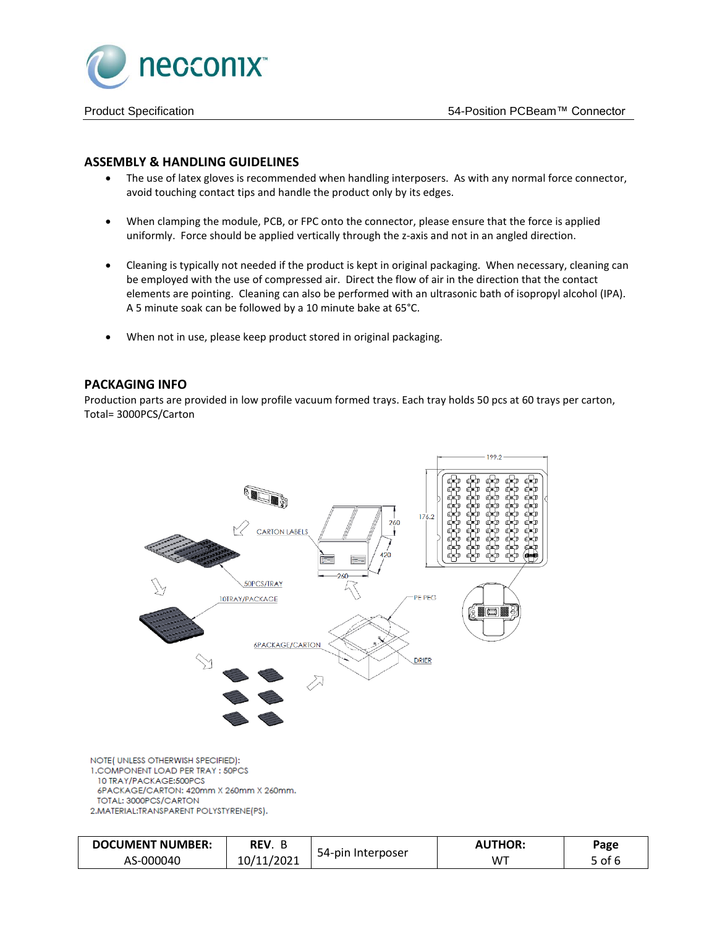

## **ASSEMBLY & HANDLING GUIDELINES**

- The use of latex gloves is recommended when handling interposers. As with any normal force connector, avoid touching contact tips and handle the product only by its edges.
- When clamping the module, PCB, or FPC onto the connector, please ensure that the force is applied uniformly. Force should be applied vertically through the z-axis and not in an angled direction.
- Cleaning is typically not needed if the product is kept in original packaging. When necessary, cleaning can be employed with the use of compressed air. Direct the flow of air in the direction that the contact elements are pointing. Cleaning can also be performed with an ultrasonic bath of isopropyl alcohol (IPA). A 5 minute soak can be followed by a 10 minute bake at 65°C.
- When not in use, please keep product stored in original packaging.

## **PACKAGING INFO**

Production parts are provided in low profile vacuum formed trays. Each tray holds 50 pcs at 60 trays per carton, Total= 3000PCS/Carton



| <b>DOCUMENT NUMBER:</b> | REV.       |                   | <b>AUTHOR:</b> | Page   |
|-------------------------|------------|-------------------|----------------|--------|
| AS-000040               | 10/11/2021 | 54-pin Interposer | W™             | 5 of 6 |